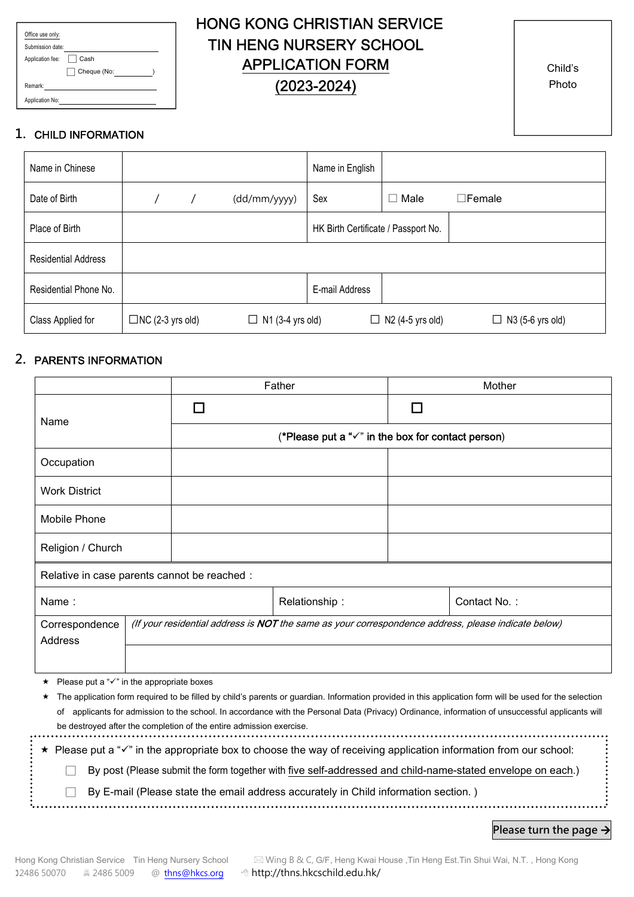| Office use only: |             |  |
|------------------|-------------|--|
| Submission date: |             |  |
| Application fee: | Cash        |  |
|                  | Cheque (No: |  |
| Remark:          |             |  |
| Application No:  |             |  |

# HONG KONG CHRISTIAN SERVICE TIN HENG NURSERY SCHOOL APPLICATION FORM (2023-2024)

Child's Photo

### 1. CHILD INFORMATION

| Name in Chinese            |                         |                         | Name in English                     |                         |                         |
|----------------------------|-------------------------|-------------------------|-------------------------------------|-------------------------|-------------------------|
| Date of Birth              |                         | (dd/mm/yyyy)            | Sex                                 | Male<br>П               | $\Box$ Female           |
| Place of Birth             |                         |                         | HK Birth Certificate / Passport No. |                         |                         |
| <b>Residential Address</b> |                         |                         |                                     |                         |                         |
| Residential Phone No.      |                         |                         | E-mail Address                      |                         |                         |
| Class Applied for          | $\Box$ NC (2-3 yrs old) | $\Box$ N1 (3-4 yrs old) |                                     | $\Box$ N2 (4-5 yrs old) | $\Box$ N3 (5-6 yrs old) |

#### 2. PARENTS INFORMATION

| (*Please put a " $\checkmark$ " in the box for contact person)                                                                                          |  |  |  |  |  |  |  |
|---------------------------------------------------------------------------------------------------------------------------------------------------------|--|--|--|--|--|--|--|
|                                                                                                                                                         |  |  |  |  |  |  |  |
|                                                                                                                                                         |  |  |  |  |  |  |  |
|                                                                                                                                                         |  |  |  |  |  |  |  |
|                                                                                                                                                         |  |  |  |  |  |  |  |
| Relative in case parents cannot be reached :                                                                                                            |  |  |  |  |  |  |  |
| Contact No.:                                                                                                                                            |  |  |  |  |  |  |  |
| (If your residential address is NOT the same as your correspondence address, please indicate below)                                                     |  |  |  |  |  |  |  |
|                                                                                                                                                         |  |  |  |  |  |  |  |
|                                                                                                                                                         |  |  |  |  |  |  |  |
| The application form required to be filled by child's parents or guardian. Information provided in this application form will be used for the selection |  |  |  |  |  |  |  |
| applicants for admission to the school. In accordance with the Personal Data (Privacy) Ordinance, information of unsuccessful applicants will           |  |  |  |  |  |  |  |
| be destroyed after the completion of the entire admission exercise.                                                                                     |  |  |  |  |  |  |  |
|                                                                                                                                                         |  |  |  |  |  |  |  |

 $\star$  Please put a " $\checkmark$ " in the appropriate box to choose the way of receiving application information from our school:

□ By post (Please submit the form together with five self-addressed and child-name-stated envelope on each.)

 $\Box$  By E-mail (Please state the email address accurately in Child information section.)

Please turn the page  $\rightarrow$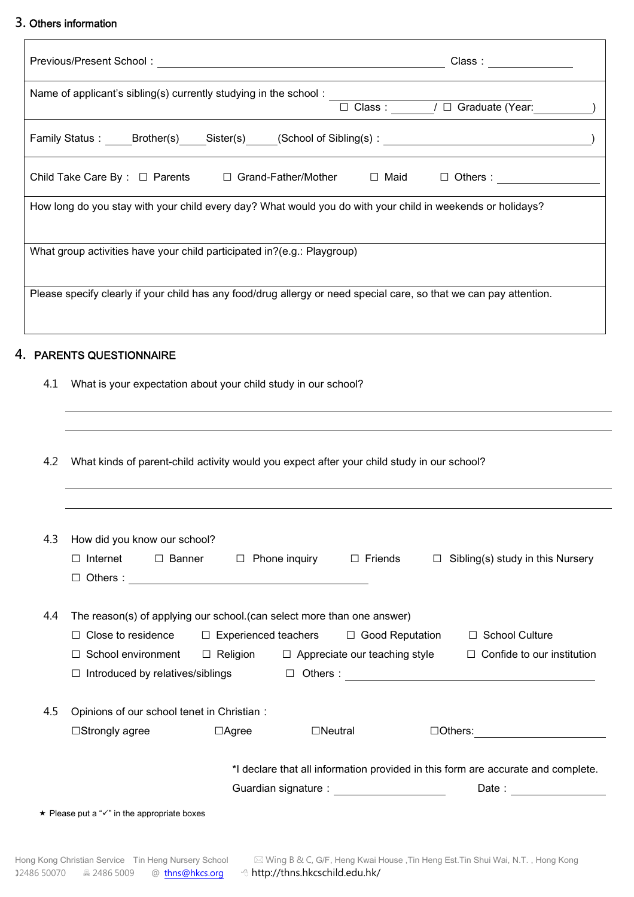#### 3. Others information

|     | 3. Others information                                                                                                                                                                                                                                                                                                                               |
|-----|-----------------------------------------------------------------------------------------------------------------------------------------------------------------------------------------------------------------------------------------------------------------------------------------------------------------------------------------------------|
|     |                                                                                                                                                                                                                                                                                                                                                     |
|     | Name of applicant's sibling(s) currently studying in the school : $\Box$ Class : $\Box$ / $\Box$ Graduate (Year:                                                                                                                                                                                                                                    |
|     | Family Status: Brother(s) Sister(s) (School of Sibling(s):                                                                                                                                                                                                                                                                                          |
|     | Child Take Care By : □ Parents □ Grand-Father/Mother □ Maid □ Others :                                                                                                                                                                                                                                                                              |
|     | How long do you stay with your child every day? What would you do with your child in weekends or holidays?                                                                                                                                                                                                                                          |
|     | What group activities have your child participated in?(e.g.: Playgroup)                                                                                                                                                                                                                                                                             |
|     | Please specify clearly if your child has any food/drug allergy or need special care, so that we can pay attention.                                                                                                                                                                                                                                  |
|     | 4. PARENTS QUESTIONNAIRE                                                                                                                                                                                                                                                                                                                            |
| 4.1 | What is your expectation about your child study in our school?                                                                                                                                                                                                                                                                                      |
| 4.2 | What kinds of parent-child activity would you expect after your child study in our school?                                                                                                                                                                                                                                                          |
| 4.3 | How did you know our school?                                                                                                                                                                                                                                                                                                                        |
|     | $\Box$ Internet<br>$\Box$ Banner<br>$\Box$ Phone inquiry<br>$\Box$ Friends<br>Sibling(s) study in this Nursery<br>$\Box$<br>$\Box$ Others : $\Box$                                                                                                                                                                                                  |
| 4.4 | The reason(s) of applying our school. (can select more than one answer)<br>$\Box$ Close to residence<br>$\Box$ Experienced teachers<br>$\Box$ Good Reputation<br>□ School Culture<br>$\Box$ School environment $\Box$ Religion $\Box$ Appreciate our teaching style<br>$\Box$ Confide to our institution<br>$\Box$ Introduced by relatives/siblings |
| 4.5 | Opinions of our school tenet in Christian :<br>$\Box$ Neutral<br>$\Box$ Others:<br>□Strongly agree<br>$\Box$ Agree                                                                                                                                                                                                                                  |

\*I declare that all information provided in this form are accurate and complete.

| Guardian signature: | Date: |  |
|---------------------|-------|--|
|---------------------|-------|--|

 $\star$  Please put a " $\checkmark$ " in the appropriate boxes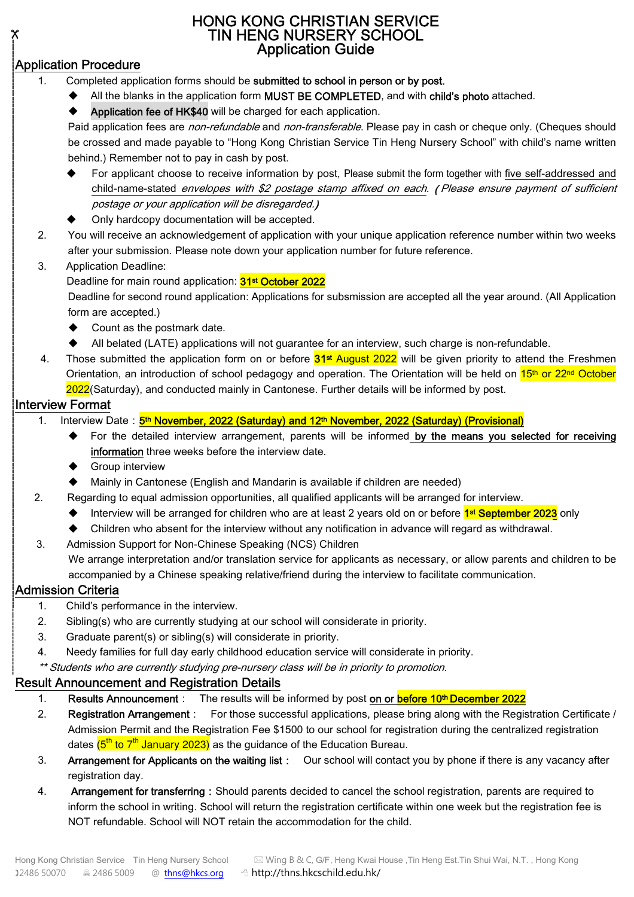### HONG KONG CHRISTIAN SERVICE TIN HENG NURSERY SCHOOL Application Guide

## Application Procedure

Х.

- Completed application forms should be submitted to school in person or by post.
	- All the blanks in the application form MUST BE COMPLETED, and with child's photo attached.
	- Application fee of HK\$40 will be charged for each application.

Paid application fees are *non-refundable* and *non-transferable*. Please pay in cash or cheque only. (Cheques should be crossed and made payable to "Hong Kong Christian Service Tin Heng Nursery School" with child's name written behind.) Remember not to pay in cash by post.

- For applicant choose to receive information by post, Please submit the form together with five self-addressed and child-name-stated envelopes with \$2 postage stamp affixed on each. (Please ensure payment of sufficient postage or your application will be disregarded.)
- Only hardcopy documentation will be accepted.
- 2. You will receive an acknowledgement of application with your unique application reference number within two weeks after your submission. Please note down your application number for future reference.
- 3. Application Deadline:

Deadline for main round application: **31st October 2022** 

Deadline for second round application: Applications for subsmission are accepted all the year around. (All Application form are accepted.)

- ◆ Count as the postmark date.
- All belated (LATE) applications will not guarantee for an interview, such charge is non-refundable.
- 4. Those submitted the application form on or before 31st August 2022 will be given priority to attend the Freshmen Orientation, an introduction of school pedagogy and operation. The Orientation will be held on 15<sup>th</sup> or 22<sup>nd</sup> October 2022(Saturday), and conducted mainly in Cantonese. Further details will be informed by post.

### Interview Format

- 1. Interview Date: 5<sup>th</sup> November, 2022 (Saturday) and 12<sup>th</sup> November, 2022 (Saturday) (Provisional)
	- For the detailed interview arrangement, parents will be informed by the means you selected for receiving information three weeks before the interview date.
	- Group interview
	- Mainly in Cantonese (English and Mandarin is available if children are needed)
- 2. Regarding to equal admission opportunities, all qualified applicants will be arranged for interview.
	- ◆ Interview will be arranged for children who are at least 2 years old on or before 1<sup>st</sup> September 2023 only
	- Children who absent for the interview without any notification in advance will regard as withdrawal.
- 3. Admission Support for Non-Chinese Speaking (NCS) Children

We arrange interpretation and/or translation service for applicants as necessary, or allow parents and children to be accompanied by a Chinese speaking relative/friend during the interview to facilitate communication.

### Admission Criteria

- 1. Child's performance in the interview.
- 2. Sibling(s) who are currently studying at our school will considerate in priority.
- 3. Graduate parent(s) or sibling(s) will considerate in priority.
- 4. Needy families for full day early childhood education service will considerate in priority.

\*\* Students who are currently studying pre-nursery class will be in priority to promotion.

### Result Announcement and Registration Details

- 1. Results Announcement: The results will be informed by post on or before 10<sup>th</sup> December 2022
- 2. Registration Arrangement: For those successful applications, please bring along with the Registration Certificate / Admission Permit and the Registration Fee \$1500 to our school for registration during the centralized registration dates <mark>(5<sup>th</sup> to 7<sup>th</sup> January 2023)</mark> as the guidance of the Education Bureau.
- 3. Arrangement for Applicants on the waiting list: Our school will contact you by phone if there is any vacancy after registration day.
- 4. Arrangement for transferring: Should parents decided to cancel the school registration, parents are required to inform the school in writing. School will return the registration certificate within one week but the registration fee is NOT refundable. School will NOT retain the accommodation for the child.